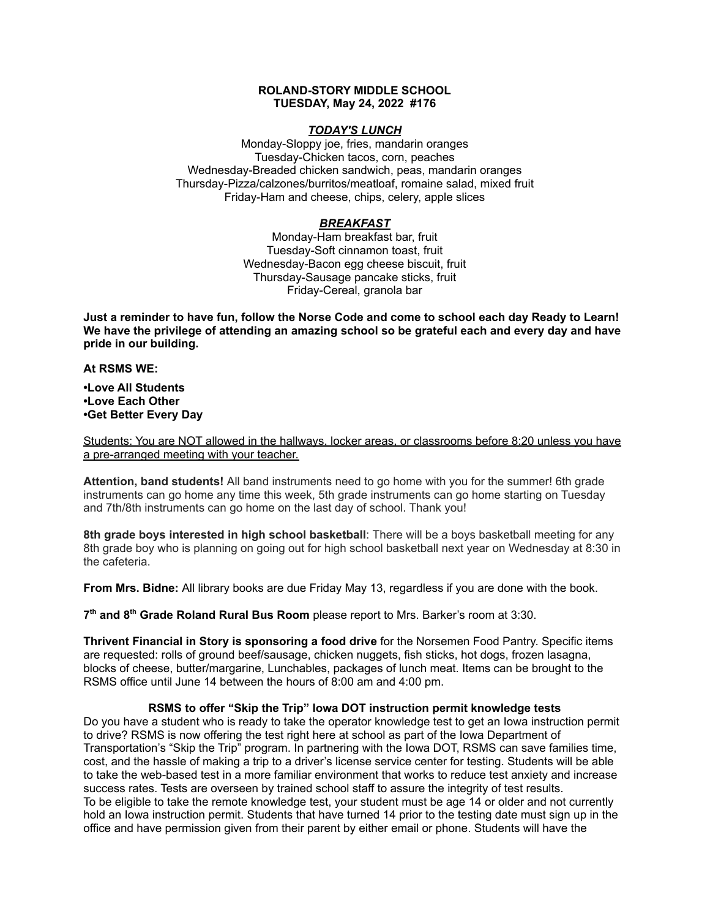# **ROLAND-STORY MIDDLE SCHOOL TUESDAY, May 24, 2022 #176**

# *TODAY'S LUNCH*

Monday-Sloppy joe, fries, mandarin oranges Tuesday-Chicken tacos, corn, peaches Wednesday-Breaded chicken sandwich, peas, mandarin oranges Thursday-Pizza/calzones/burritos/meatloaf, romaine salad, mixed fruit Friday-Ham and cheese, chips, celery, apple slices

# *BREAKFAST*

Monday-Ham breakfast bar, fruit Tuesday-Soft cinnamon toast, fruit Wednesday-Bacon egg cheese biscuit, fruit Thursday-Sausage pancake sticks, fruit Friday-Cereal, granola bar

Just a reminder to have fun, follow the Norse Code and come to school each day Ready to Learn! **We have the privilege of attending an amazing school so be grateful each and every day and have pride in our building.**

#### **At RSMS WE:**

**•Love All Students •Love Each Other •Get Better Every Day**

Students: You are NOT allowed in the hallways, locker areas, or classrooms before 8:20 unless you have a pre-arranged meeting with your teacher.

**Attention, band students!** All band instruments need to go home with you for the summer! 6th grade instruments can go home any time this week, 5th grade instruments can go home starting on Tuesday and 7th/8th instruments can go home on the last day of school. Thank you!

**8th grade boys interested in high school basketball**: There will be a boys basketball meeting for any 8th grade boy who is planning on going out for high school basketball next year on Wednesday at 8:30 in the cafeteria.

**From Mrs. Bidne:** All library books are due Friday May 13, regardless if you are done with the book.

**7 th and 8 th Grade Roland Rural Bus Room** please report to Mrs. Barker's room at 3:30.

**Thrivent Financial in Story is sponsoring a food drive** for the Norsemen Food Pantry. Specific items are requested: rolls of ground beef/sausage, chicken nuggets, fish sticks, hot dogs, frozen lasagna, blocks of cheese, butter/margarine, Lunchables, packages of lunch meat. Items can be brought to the RSMS office until June 14 between the hours of 8:00 am and 4:00 pm.

### **RSMS to offer "Skip the Trip" Iowa DOT instruction permit knowledge tests**

Do you have a student who is ready to take the operator knowledge test to get an Iowa instruction permit to drive? RSMS is now offering the test right here at school as part of the Iowa Department of Transportation's "Skip the Trip" program. In partnering with the Iowa DOT, RSMS can save families time, cost, and the hassle of making a trip to a driver's license service center for testing. Students will be able to take the web-based test in a more familiar environment that works to reduce test anxiety and increase success rates. Tests are overseen by trained school staff to assure the integrity of test results. To be eligible to take the remote knowledge test, your student must be age 14 or older and not currently hold an Iowa instruction permit. Students that have turned 14 prior to the testing date must sign up in the office and have permission given from their parent by either email or phone. Students will have the